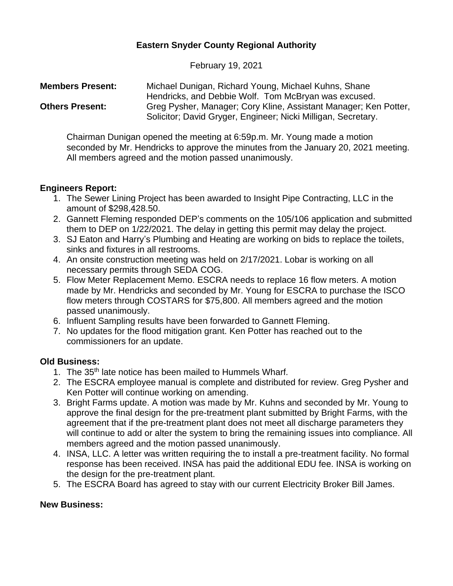# **Eastern Snyder County Regional Authority**

February 19, 2021

| <b>Members Present:</b> | Michael Dunigan, Richard Young, Michael Kuhns, Shane             |
|-------------------------|------------------------------------------------------------------|
|                         | Hendricks, and Debbie Wolf. Tom McBryan was excused.             |
| <b>Others Present:</b>  | Greg Pysher, Manager; Cory Kline, Assistant Manager; Ken Potter, |
|                         | Solicitor; David Gryger, Engineer; Nicki Milligan, Secretary.    |

Chairman Dunigan opened the meeting at 6:59p.m. Mr. Young made a motion seconded by Mr. Hendricks to approve the minutes from the January 20, 2021 meeting. All members agreed and the motion passed unanimously.

#### **Engineers Report:**

- 1. The Sewer Lining Project has been awarded to Insight Pipe Contracting, LLC in the amount of \$298,428.50.
- 2. Gannett Fleming responded DEP's comments on the 105/106 application and submitted them to DEP on 1/22/2021. The delay in getting this permit may delay the project.
- 3. SJ Eaton and Harry's Plumbing and Heating are working on bids to replace the toilets, sinks and fixtures in all restrooms.
- 4. An onsite construction meeting was held on 2/17/2021. Lobar is working on all necessary permits through SEDA COG.
- 5. Flow Meter Replacement Memo. ESCRA needs to replace 16 flow meters. A motion made by Mr. Hendricks and seconded by Mr. Young for ESCRA to purchase the ISCO flow meters through COSTARS for \$75,800. All members agreed and the motion passed unanimously.
- 6. Influent Sampling results have been forwarded to Gannett Fleming.
- 7. No updates for the flood mitigation grant. Ken Potter has reached out to the commissioners for an update.

# **Old Business:**

- 1. The 35<sup>th</sup> late notice has been mailed to Hummels Wharf.
- 2. The ESCRA employee manual is complete and distributed for review. Greg Pysher and Ken Potter will continue working on amending.
- 3. Bright Farms update. A motion was made by Mr. Kuhns and seconded by Mr. Young to approve the final design for the pre-treatment plant submitted by Bright Farms, with the agreement that if the pre-treatment plant does not meet all discharge parameters they will continue to add or alter the system to bring the remaining issues into compliance. All members agreed and the motion passed unanimously.
- 4. INSA, LLC. A letter was written requiring the to install a pre-treatment facility. No formal response has been received. INSA has paid the additional EDU fee. INSA is working on the design for the pre-treatment plant.
- 5. The ESCRA Board has agreed to stay with our current Electricity Broker Bill James.

#### **New Business:**